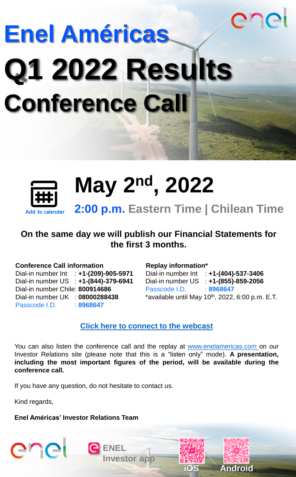# **Enel Américas Q1 2022 Results Conference Call**



**May 2nd, 2022**

**2:00 p.m. Eastern Time | Chilean Time**

### **On the same day we will publish our Financial Statements for the first 3 months.**

#### **Conference Call information**

Dial-in number Int : **+1-(209)-905-5971** Dial-in number US : **+1-(844)-379-6941** Dial-in number Chile: **800914686** Dial-in number UK : **08000288438** Passcode I.D. : **8968647** 

#### **Replay information\***

Dial-in number Int : **+1-(404)-537-3406** Dial-in number US : **+1-(855)-859-2056** Passcode I.D. : **8968647** \*available until May  $10^{th}$ , 2022, 6:00 p.m. E.T.

anei

**iOS Android**

#### **[Click here to connect to the webcast](https://edge.media-server.com/mmc/p/4z22cgi8)**

You can also listen the conference call and the replay at [www.enelamericas.com](https://www.enelamericas.com/en.html.html) on our Investor Relations site (please note that this is a "listen only" mode). **A presentation, including the most important figures of the period, will be available during the conference call.**

If you have any question, do not hesitate to contact us.

**ENEL**

**Investor app** 

Kind regards,

enei

**Enel Américas' Investor Relations Team**